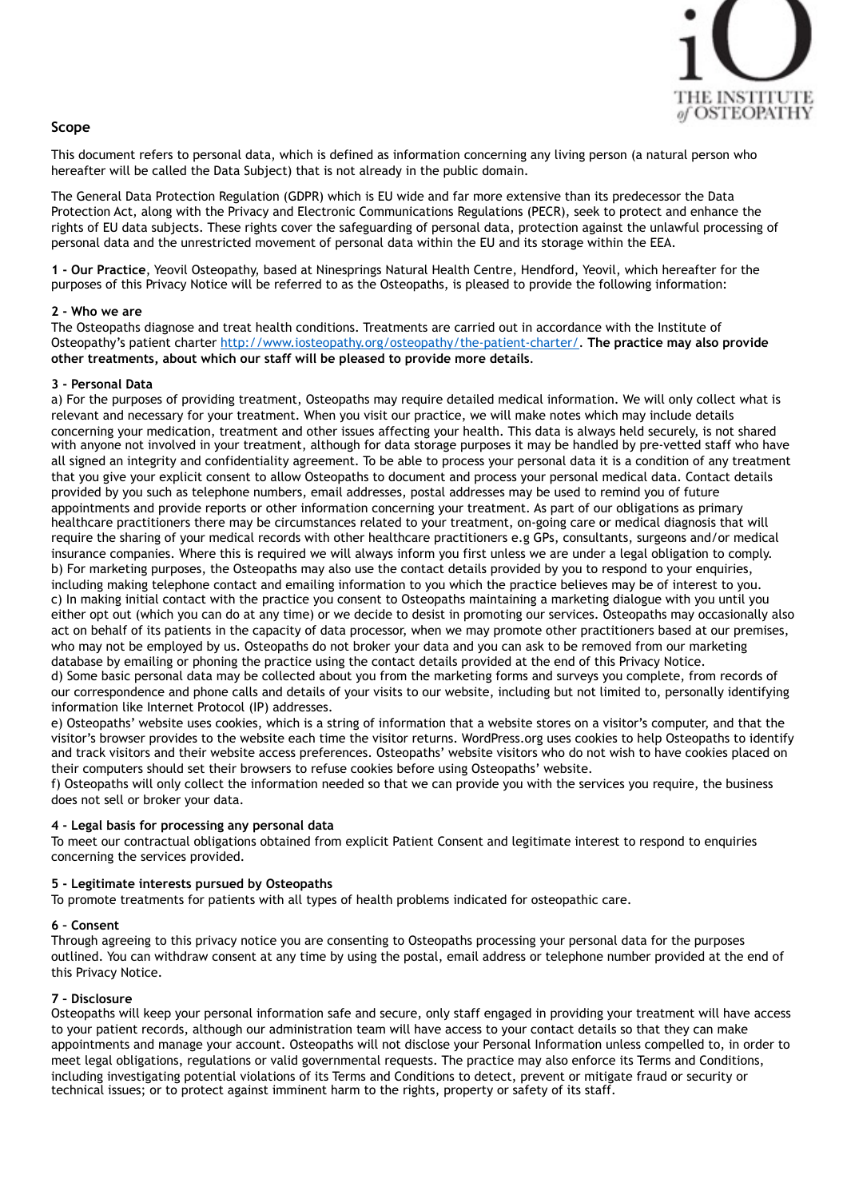

# **Scope**

This document refers to personal data, which is defined as information concerning any living person (a natural person who hereafter will be called the Data Subject) that is not already in the public domain.

The General Data Protection Regulation (GDPR) which is EU wide and far more extensive than its predecessor the Data Protection Act, along with the Privacy and Electronic Communications Regulations (PECR), seek to protect and enhance the rights of EU data subjects. These rights cover the safeguarding of personal data, protection against the unlawful processing of personal data and the unrestricted movement of personal data within the EU and its storage within the EEA.

**1 - Our Practice**, Yeovil Osteopathy, based at Ninesprings Natural Health Centre, Hendford, Yeovil, which hereafter for the purposes of this Privacy Notice will be referred to as the Osteopaths, is pleased to provide the following information:

### **2 - Who we are**

The Osteopaths diagnose and treat health conditions. Treatments are carried out in accordance with the Institute of Osteopathy's patient charter [http://www.iosteopathy.org/osteopathy/the-patient-charter/.](http://www.iosteopathy.org/osteopathy/the-patient-charter/) **The practice may also provide other treatments, about which our staff will be pleased to provide more details**.

### **3 - Personal Data**

a) For the purposes of providing treatment, Osteopaths may require detailed medical information. We will only collect what is relevant and necessary for your treatment. When you visit our practice, we will make notes which may include details concerning your medication, treatment and other issues affecting your health. This data is always held securely, is not shared with anyone not involved in your treatment, although for data storage purposes it may be handled by pre-vetted staff who have all signed an integrity and confidentiality agreement. To be able to process your personal data it is a condition of any treatment that you give your explicit consent to allow Osteopaths to document and process your personal medical data. Contact details provided by you such as telephone numbers, email addresses, postal addresses may be used to remind you of future appointments and provide reports or other information concerning your treatment. As part of our obligations as primary healthcare practitioners there may be circumstances related to your treatment, on-going care or medical diagnosis that will require the sharing of your medical records with other healthcare practitioners e.g GPs, consultants, surgeons and/or medical insurance companies. Where this is required we will always inform you first unless we are under a legal obligation to comply. b) For marketing purposes, the Osteopaths may also use the contact details provided by you to respond to your enquiries, including making telephone contact and emailing information to you which the practice believes may be of interest to you. c) In making initial contact with the practice you consent to Osteopaths maintaining a marketing dialogue with you until you either opt out (which you can do at any time) or we decide to desist in promoting our services. Osteopaths may occasionally also act on behalf of its patients in the capacity of data processor, when we may promote other practitioners based at our premises, who may not be employed by us. Osteopaths do not broker your data and you can ask to be removed from our marketing database by emailing or phoning the practice using the contact details provided at the end of this Privacy Notice. d) Some basic personal data may be collected about you from the marketing forms and surveys you complete, from records of our correspondence and phone calls and details of your visits to our website, including but not limited to, personally identifying information like Internet Protocol (IP) addresses.

e) Osteopaths' website uses cookies, which is a string of information that a website stores on a visitor's computer, and that the visitor's browser provides to the website each time the visitor returns. WordPress.org uses cookies to help Osteopaths to identify and track visitors and their website access preferences. Osteopaths' website visitors who do not wish to have cookies placed on their computers should set their browsers to refuse cookies before using Osteopaths' website.

f) Osteopaths will only collect the information needed so that we can provide you with the services you require, the business does not sell or broker your data.

### **4 - Legal basis for processing any personal data**

To meet our contractual obligations obtained from explicit Patient Consent and legitimate interest to respond to enquiries concerning the services provided.

### **5 - Legitimate interests pursued by Osteopaths**

To promote treatments for patients with all types of health problems indicated for osteopathic care.

### **6 – Consent**

Through agreeing to this privacy notice you are consenting to Osteopaths processing your personal data for the purposes outlined. You can withdraw consent at any time by using the postal, email address or telephone number provided at the end of this Privacy Notice.

### **7 – Disclosure**

Osteopaths will keep your personal information safe and secure, only staff engaged in providing your treatment will have access to your patient records, although our administration team will have access to your contact details so that they can make appointments and manage your account. Osteopaths will not disclose your Personal Information unless compelled to, in order to meet legal obligations, regulations or valid governmental requests. The practice may also enforce its Terms and Conditions, including investigating potential violations of its Terms and Conditions to detect, prevent or mitigate fraud or security or technical issues; or to protect against imminent harm to the rights, property or safety of its staff.